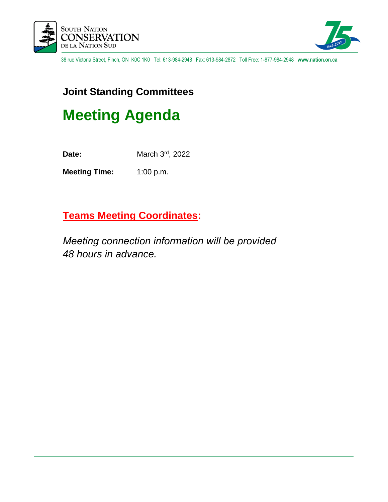



38 rue Victoria Street, Finch, ON K0C 1K0 Tel: 613-984-2948 Fax: 613-984-2872 Toll Free: 1-877-984-2948 **www.nation.on.ca**

# **Joint Standing Committees**

# **Meeting Agenda**

**Date:** March 3<sup>rd</sup>, 2022

**Meeting Time:** 1:00 p.m.

# **Teams Meeting Coordinates:**

*Meeting connection information will be provided  48 hours in advance.*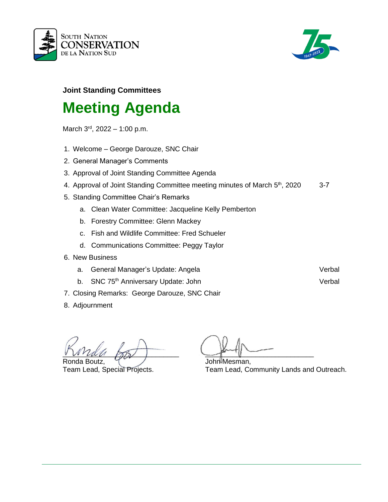



# **Joint Standing Committees**

# **Meeting Agenda**

March 3<sup>rd</sup>, 2022 – 1:00 p.m.

- 1. Welcome George Darouze, SNC Chair
- 2. General Manager's Comments
- 3. Approval of Joint Standing Committee Agenda
- 4. Approval of Joint Standing Committee meeting minutes of March 5<sup>th</sup>, 2020 3-7
- 5. Standing Committee Chair's Remarks
	- a. Clean Water Committee: Jacqueline Kelly Pemberton
	- b. Forestry Committee: Glenn Mackey
	- c. Fish and Wildlife Committee: Fred Schueler
	- d. Communications Committee: Peggy Taylor
- 6. New Business
	- a. General Manager's Update: Angela Verbal Verbal
	- b. SNC 75<sup>th</sup> Anniversary Update: John Verbal
- 7. Closing Remarks: George Darouze, SNC Chair
- 8. Adjournment

\_\_\_\_\_\_\_\_\_\_\_\_\_\_\_\_\_\_\_\_\_\_\_\_\_\_\_\_\_\_ \_\_\_\_\_\_\_\_\_\_\_\_\_\_\_\_\_\_\_\_\_\_\_\_\_\_\_\_ Ronda Boutz, Table 7, 2008, 2008, 2009, 2009, 2009, 2009, 2009, 2009, 2009, 2009, 2009, 2009, 2009, 2009, 200

Team Lead, Special Projects. Team Lead, Community Lands and Outreach.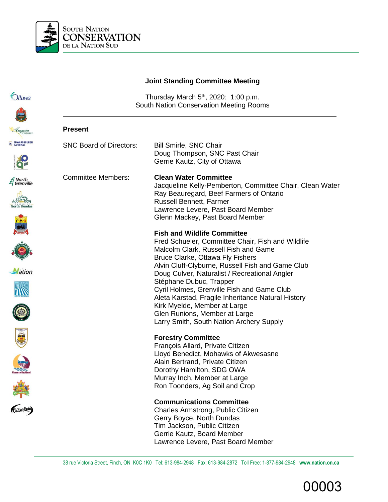

# **Joint Standing Committee Meeting**

| <i><b>Ottawa</b></i>                        | Thursday March 5 <sup>th</sup> , 2020: 1:00 p.m.<br>South Nation Conservation Meeting Rooms |                                                                                                                                                                                                                                                                                      |
|---------------------------------------------|---------------------------------------------------------------------------------------------|--------------------------------------------------------------------------------------------------------------------------------------------------------------------------------------------------------------------------------------------------------------------------------------|
|                                             |                                                                                             |                                                                                                                                                                                                                                                                                      |
| Luqusta                                     | <b>Present</b>                                                                              |                                                                                                                                                                                                                                                                                      |
| EC EDWARDSBURGH                             | <b>SNC Board of Directors:</b>                                                              | <b>Bill Smirle, SNC Chair</b><br>Doug Thompson, SNC Past Chair<br>Gerrie Kautz, City of Ottawa                                                                                                                                                                                       |
| North<br>  Grenville<br><b>North Dundas</b> | <b>Committee Members:</b>                                                                   | <b>Clean Water Committee</b><br>Jacqueline Kelly-Pemberton, Committee Chair, Clean Water<br>Ray Beauregard, Beef Farmers of Ontario<br><b>Russell Bennett, Farmer</b><br>Lawrence Levere, Past Board Member<br>Glenn Mackey, Past Board Member<br><b>Fish and Wildlife Committee</b> |
|                                             |                                                                                             | Fred Schueler, Committee Chair, Fish and Wildlife<br>Malcolm Clark, Russell Fish and Game<br>Bruce Clarke, Ottawa Fly Fishers<br>Alvin Cluff-Clyburne, Russell Fish and Game Club                                                                                                    |
| <b>Nation</b>                               |                                                                                             | Doug Culver, Naturalist / Recreational Angler<br>Stéphane Dubuc, Trapper<br>Cyril Holmes, Grenville Fish and Game Club<br>Aleta Karstad, Fragile Inheritance Natural History                                                                                                         |
| <b>CENT</b>                                 |                                                                                             | Kirk Myelde, Member at Large<br>Glen Runions, Member at Large<br>Larry Smith, South Nation Archery Supply                                                                                                                                                                            |
|                                             |                                                                                             | <b>Forestry Committee</b><br>François Allard, Private Citizen<br>Lloyd Benedict, Mohawks of Akwesasne<br>Alain Bertrand, Private Citizen                                                                                                                                             |
|                                             |                                                                                             | Dorothy Hamilton, SDG OWA<br>Murray Inch, Member at Large<br>Ron Toonders, Ag Soil and Crop                                                                                                                                                                                          |
| Champlain)                                  |                                                                                             | <b>Communications Committee</b><br>Charles Armstrong, Public Citizen<br>Gerry Boyce, North Dundas<br>Tim Jackson, Public Citizen<br>Gerrie Kautz, Board Member<br>Lawrence Levere, Past Board Member                                                                                 |

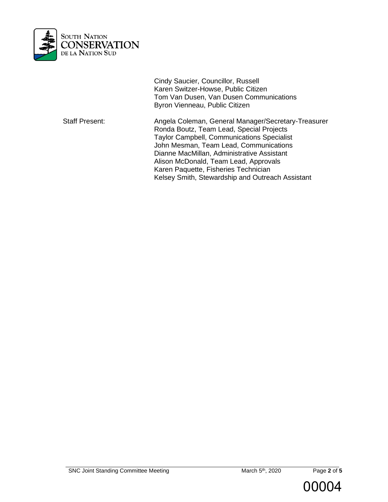

Cindy Saucier, Councillor, Russell Karen Switzer-Howse, Public Citizen Tom Van Dusen, Van Dusen Communications Byron Vienneau, Public Citizen

Staff Present: Angela Coleman, General Manager/Secretary-Treasurer Ronda Boutz, Team Lead, Special Projects Taylor Campbell, Communications Specialist John Mesman, Team Lead, Communications Dianne MacMillan, Administrative Assistant Alison McDonald, Team Lead, Approvals Karen Paquette, Fisheries Technician Kelsey Smith, Stewardship and Outreach Assistant



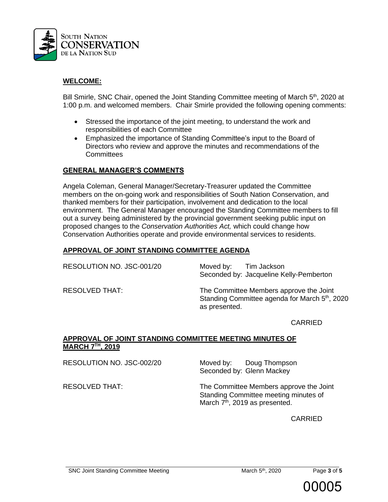

## **WELCOME:**

Bill Smirle, SNC Chair, opened the Joint Standing Committee meeting of March 5<sup>th</sup>, 2020 at 1:00 p.m. and welcomed members. Chair Smirle provided the following opening comments:

- Stressed the importance of the joint meeting, to understand the work and responsibilities of each Committee
- Emphasized the importance of Standing Committee's input to the Board of Directors who review and approve the minutes and recommendations of the **Committees**

#### **GENERAL MANAGER'S COMMENTS**

Angela Coleman, General Manager/Secretary-Treasurer updated the Committee members on the on-going work and responsibilities of South Nation Conservation, and thanked members for their participation, involvement and dedication to the local environment. The General Manager encouraged the Standing Committee members to fill out a survey being administered by the provincial government seeking public input on proposed changes to the *Conservation Authorities Act,* which could change how Conservation Authorities operate and provide environmental services to residents.

## **APPROVAL OF JOINT STANDING COMMITTEE AGENDA**

RESOLUTION NO. JSC-001/20 Moved by: Tim Jackson

Seconded by: Jacqueline Kelly-Pemberton

RESOLVED THAT: The Committee Members approve the Joint Standing Committee agenda for March 5<sup>th</sup>, 2020 as presented.

CARRIED

#### **APPROVAL OF JOINT STANDING COMMITTEE MEETING MINUTES OF MARCH 7TH, 2019**

RESOLUTION NO. JSC-002/20 Moved by: Doug Thompson

Seconded by: Glenn Mackey

RESOLVED THAT: The Committee Members approve the Joint Standing Committee meeting minutes of March 7<sup>th</sup>, 2019 as presented.

CARRIED

th, 2020 Page **3** of **5**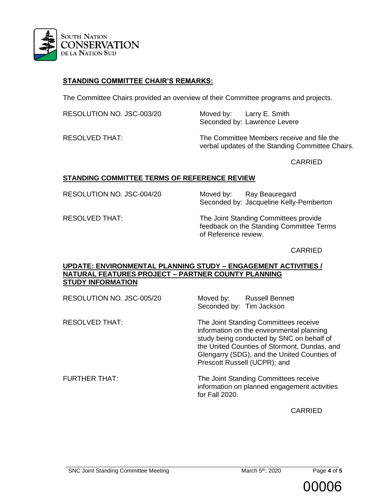

# **STANDING COMMITTEE CHAIR'S REMARKS:**

The Committee Chairs provided an overview of their Committee programs and projects.

RESOLUTION NO. JSC-003/20 Moved by: Larry E. Smith

Seconded by: Lawrence Levere RESOLVED THAT: The Committee Members receive and file the

verbal updates of the Standing Committee Chairs.

CARRIED

#### **STANDING COMMITTEE TERMS OF REFERENCE REVIEW**

RESOLUTION NO. JSC-004/20 Moved by: Ray Beauregard

Seconded by: Jacqueline Kelly-Pemberton

RESOLVED THAT: The Joint Standing Committees provide feedback on the Standing Committee Terms of Reference review.

#### CARRIED

#### **UPDATE: ENVIRONMENTAL PLANNING STUDY – ENGAGEMENT ACTIVITIES / NATURAL FEATURES PROJECT – PARTNER COUNTY PLANNING STUDY INFORMATION**

| RESOLUTION NO. JSC-005/20 | Moved by:<br><b>Russell Bennett</b><br>Seconded by: Tim Jackson                                                                                                                                                                                                |
|---------------------------|----------------------------------------------------------------------------------------------------------------------------------------------------------------------------------------------------------------------------------------------------------------|
| <b>RESOLVED THAT:</b>     | The Joint Standing Committees receive<br>information on the environmental planning<br>study being conducted by SNC on behalf of<br>the United Counties of Stormont, Dundas, and<br>Glengarry (SDG), and the United Counties of<br>Prescott Russell (UCPR); and |
| <b>FURTHER THAT:</b>      | The Joint Standing Committees receive<br>information on planned engagement activities<br>for Fall 2020.                                                                                                                                                        |

CARRIED